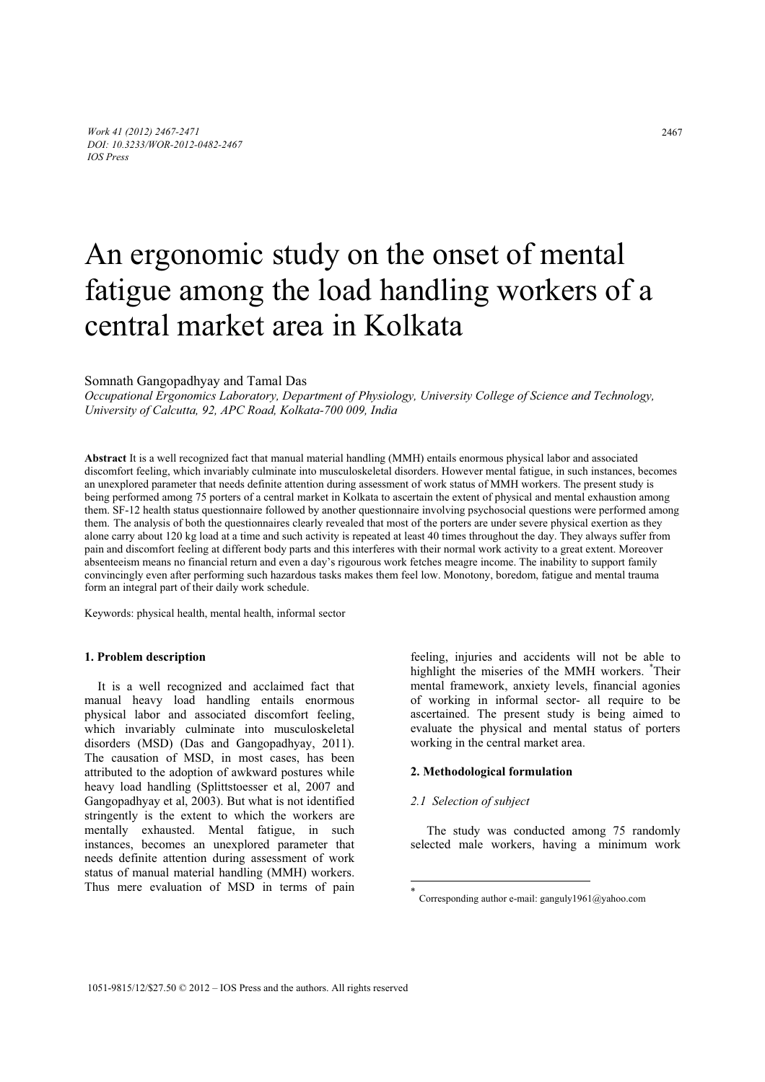# An ergonomic study on the onset of mental fatigue among the load handling workers of a central market area in Kolkata

Somnath Gangopadhyay and Tamal Das

*Occupational Ergonomics Laboratory, Department of Physiology, University College of Science and Technology, University of Calcutta, 92, APC Road, Kolkata-700 009, India* 

**Abstract** It is a well recognized fact that manual material handling (MMH) entails enormous physical labor and associated discomfort feeling, which invariably culminate into musculoskeletal disorders. However mental fatigue, in such instances, becomes an unexplored parameter that needs definite attention during assessment of work status of MMH workers. The present study is being performed among 75 porters of a central market in Kolkata to ascertain the extent of physical and mental exhaustion among them. SF-12 health status questionnaire followed by another questionnaire involving psychosocial questions were performed among them. The analysis of both the questionnaires clearly revealed that most of the porters are under severe physical exertion as they alone carry about 120 kg load at a time and such activity is repeated at least 40 times throughout the day. They always suffer from pain and discomfort feeling at different body parts and this interferes with their normal work activity to a great extent. Moreover absenteeism means no financial return and even a day's rigourous work fetches meagre income. The inability to support family convincingly even after performing such hazardous tasks makes them feel low. Monotony, boredom, fatigue and mental trauma form an integral part of their daily work schedule.

Keywords: physical health, mental health, informal sector

## **1. Problem description**

It is a well recognized and acclaimed fact that manual heavy load handling entails enormous physical labor and associated discomfort feeling, which invariably culminate into musculoskeletal disorders (MSD) (Das and Gangopadhyay, 2011). The causation of MSD, in most cases, has been attributed to the adoption of awkward postures while heavy load handling (Splittstoesser et al, 2007 and Gangopadhyay et al, 2003). But what is not identified stringently is the extent to which the workers are mentally exhausted. Mental fatigue, in such instances, becomes an unexplored parameter that needs definite attention during assessment of work status of manual material handling (MMH) workers. Thus mere evaluation of MSD in terms of pain

feeling, injuries and accidents will not be able to highlight the miseries of the MMH workers. \* Their mental framework, anxiety levels, financial agonies of working in informal sector- all require to be ascertained. The present study is being aimed to evaluate the physical and mental status of porters working in the central market area.

### **2. Methodological formulation**

#### *2.1 Selection of subject*

 $\overline{a}$ 

The study was conducted among 75 randomly selected male workers, having a minimum work

Corresponding author e-mail: ganguly1961@yahoo.com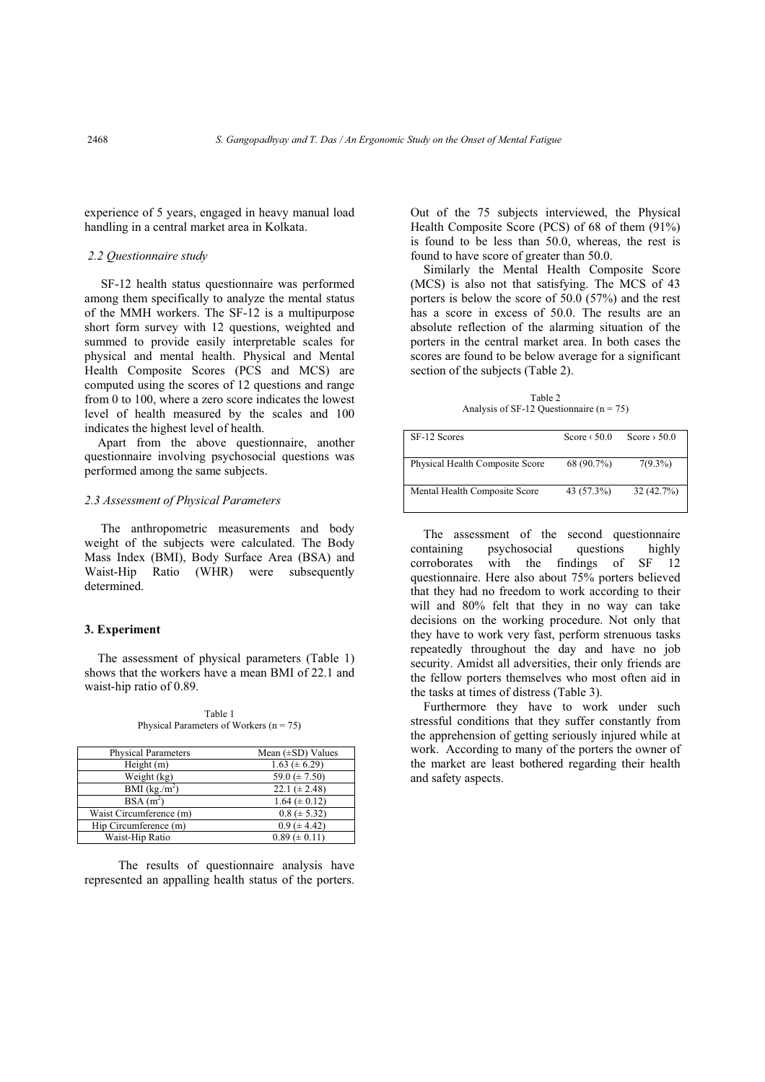experience of 5 years, engaged in heavy manual load handling in a central market area in Kolkata.

#### *2.2 Questionnaire study*

SF-12 health status questionnaire was performed among them specifically to analyze the mental status of the MMH workers. The SF-12 is a multipurpose short form survey with 12 questions, weighted and summed to provide easily interpretable scales for physical and mental health. Physical and Mental Health Composite Scores (PCS and MCS) are computed using the scores of 12 questions and range from 0 to 100, where a zero score indicates the lowest level of health measured by the scales and 100 indicates the highest level of health.

Apart from the above questionnaire, another questionnaire involving psychosocial questions was performed among the same subjects.

#### *2.3 Assessment of Physical Parameters*

 The anthropometric measurements and body weight of the subjects were calculated. The Body Mass Index (BMI), Body Surface Area (BSA) and Waist-Hip Ratio (WHR) were subsequently determined.

### **3. Experiment**

The assessment of physical parameters (Table 1) shows that the workers have a mean BMI of 22.1 and waist-hip ratio of 0.89.

Table 1 Physical Parameters of Workers  $(n = 75)$ 

| <b>Physical Parameters</b> | Mean $(\pm SD)$ Values |
|----------------------------|------------------------|
| Height(m)                  | $1.63 \ (\pm 6.29)$    |
| Weight (kg)                | 59.0 ( $\pm$ 7.50)     |
| BMI $(kg/m^2)$             | 22.1 ( $\pm$ 2.48)     |
| $BSA(m^2)$                 | $1.64 \ (\pm 0.12)$    |
| Waist Circumference (m)    | $0.8 (\pm 5.32)$       |
| Hip Circumference (m)      | $0.9 (\pm 4.42)$       |
| Waist-Hip Ratio            | $0.89 \ (\pm 0.11)$    |

The results of questionnaire analysis have represented an appalling health status of the porters. Out of the 75 subjects interviewed, the Physical Health Composite Score (PCS) of 68 of them (91%) is found to be less than 50.0, whereas, the rest is found to have score of greater than 50.0.

Similarly the Mental Health Composite Score (MCS) is also not that satisfying. The MCS of 43 porters is below the score of 50.0 (57%) and the rest has a score in excess of 50.0. The results are an absolute reflection of the alarming situation of the porters in the central market area. In both cases the scores are found to be below average for a significant section of the subjects (Table 2).

Table 2 Analysis of SF-12 Questionnaire ( $n = 75$ )

| SF-12 Scores                    | Score $\langle 50.0$ | Score $> 50.0$ |
|---------------------------------|----------------------|----------------|
| Physical Health Composite Score | 68 (90.7%)           | $7(9.3\%)$     |
| Mental Health Composite Score   | 43 (57.3%)           | 32(42.7%)      |

The assessment of the second questionnaire containing psychosocial questions highly corroborates with the findings of SF 12 questionnaire. Here also about 75% porters believed that they had no freedom to work according to their will and 80% felt that they in no way can take decisions on the working procedure. Not only that they have to work very fast, perform strenuous tasks repeatedly throughout the day and have no job security. Amidst all adversities, their only friends are the fellow porters themselves who most often aid in the tasks at times of distress (Table 3).

Furthermore they have to work under such stressful conditions that they suffer constantly from the apprehension of getting seriously injured while at work. According to many of the porters the owner of the market are least bothered regarding their health and safety aspects.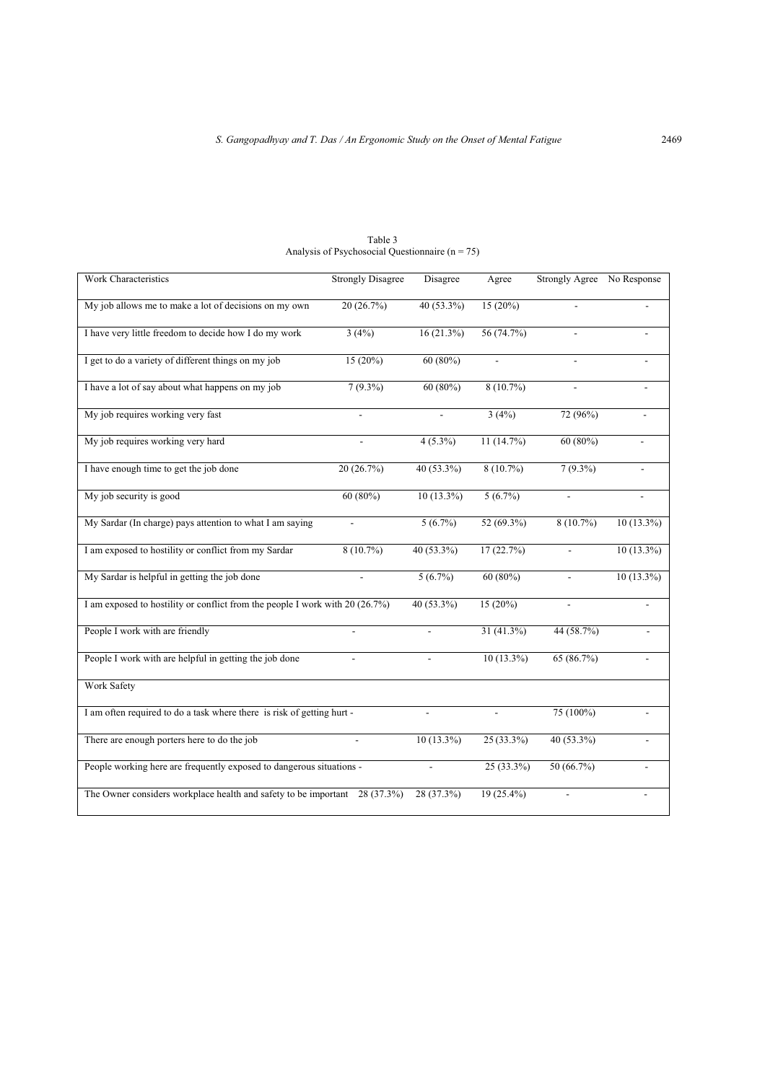| Work Characteristics                                                           | <b>Strongly Disagree</b> | Disagree       | Agree        | Strongly Agree No Response |              |
|--------------------------------------------------------------------------------|--------------------------|----------------|--------------|----------------------------|--------------|
| My job allows me to make a lot of decisions on my own                          | 20(26.7%)                | $40(53.3\%)$   | $15(20\%)$   |                            |              |
| I have very little freedom to decide how I do my work                          | 3(4%)                    | 16(21.3%)      | 56 (74.7%)   |                            |              |
| I get to do a variety of different things on my job                            | $15(20\%)$               | $60(80\%)$     |              |                            |              |
| I have a lot of say about what happens on my job                               | $7(9.3\%)$               | $60(80\%)$     | $8(10.7\%)$  |                            |              |
| My job requires working very fast                                              |                          |                | 3(4%)        | 72 (96%)                   |              |
| My job requires working very hard                                              |                          | $4(5.3\%)$     | 11 (14.7%)   | 60 (80%)                   |              |
| I have enough time to get the job done                                         | 20 (26.7%)               | 40 (53.3%)     | $8(10.7\%)$  | $7(9.3\%)$                 |              |
| My job security is good                                                        | 60(80%)                  | $10(13.3\%)$   | 5(6.7%)      | $\overline{a}$             |              |
| My Sardar (In charge) pays attention to what I am saying                       |                          | $5(6.7\%)$     | 52 (69.3%)   | $8(10.7\%)$                | $10(13.3\%)$ |
| I am exposed to hostility or conflict from my Sardar                           | $8(10.7\%)$              | 40 (53.3%)     | 17 (22.7%)   | $\overline{a}$             | 10 (13.3%)   |
| My Sardar is helpful in getting the job done                                   |                          | $5(6.7\%)$     | $60(80\%)$   |                            | $10(13.3\%)$ |
| I am exposed to hostility or conflict from the people I work with 20 $(26.7%)$ |                          | 40 (53.3%)     | $15(20\%)$   | $\overline{a}$             |              |
| People I work with are friendly                                                |                          |                | 31 (41.3%)   | 44 (58.7%)                 |              |
| People I work with are helpful in getting the job done                         |                          |                | $10(13.3\%)$ | 65 (86.7%)                 |              |
| Work Safety                                                                    |                          |                |              |                            |              |
| I am often required to do a task where there is risk of getting hurt -         |                          |                |              | 75 (100%)                  |              |
| There are enough porters here to do the job                                    |                          | $10(13.3\%)$   | $25(33.3\%)$ | 40 (53.3%)                 |              |
| People working here are frequently exposed to dangerous situations -           |                          | $\overline{a}$ | $25(33.3\%)$ | 50(66.7%)                  |              |
| The Owner considers workplace health and safety to be important 28 (37.3%)     |                          | 28 (37.3%)     | $19(25.4\%)$ |                            |              |

Table 3 Analysis of Psychosocial Questionnaire (n = 75)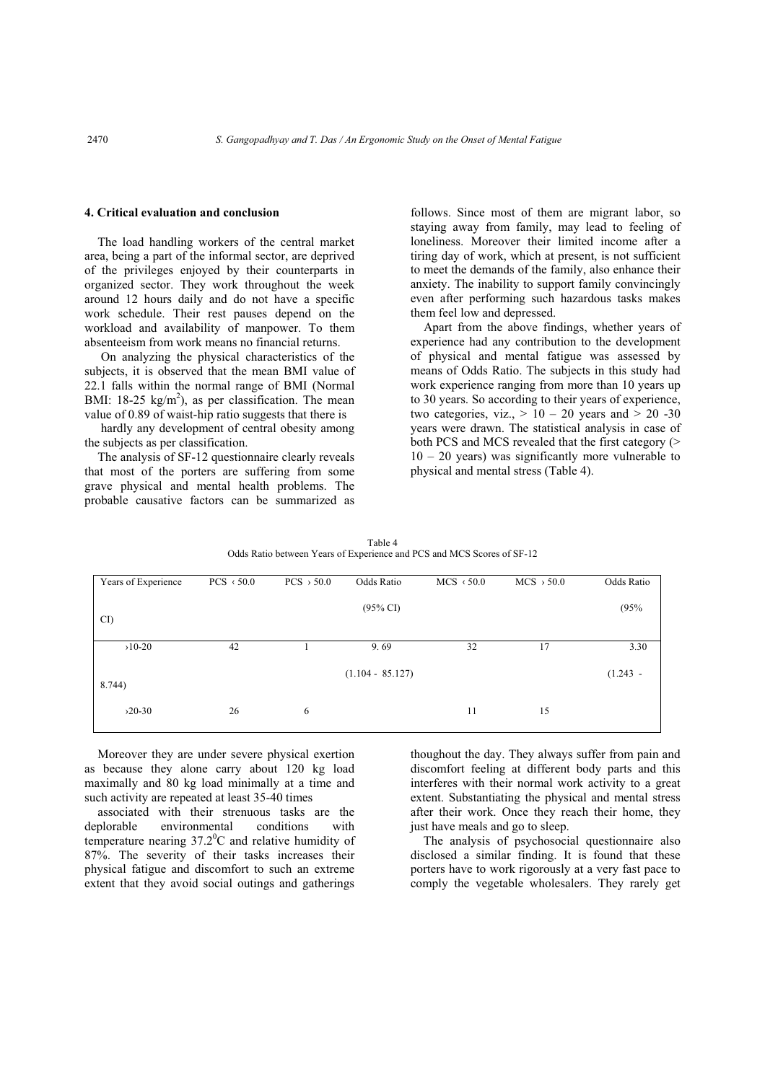### **4. Critical evaluation and conclusion**

The load handling workers of the central market area, being a part of the informal sector, are deprived of the privileges enjoyed by their counterparts in organized sector. They work throughout the week around 12 hours daily and do not have a specific work schedule. Their rest pauses depend on the workload and availability of manpower. To them absenteeism from work means no financial returns.

 On analyzing the physical characteristics of the subjects, it is observed that the mean BMI value of 22.1 falls within the normal range of BMI (Normal BMI:  $18-25 \text{ kg/m}^2$ ), as per classification. The mean value of 0.89 of waist-hip ratio suggests that there is

 hardly any development of central obesity among the subjects as per classification.

The analysis of SF-12 questionnaire clearly reveals that most of the porters are suffering from some grave physical and mental health problems. The probable causative factors can be summarized as follows. Since most of them are migrant labor, so staying away from family, may lead to feeling of loneliness. Moreover their limited income after a tiring day of work, which at present, is not sufficient to meet the demands of the family, also enhance their anxiety. The inability to support family convincingly even after performing such hazardous tasks makes them feel low and depressed.

Apart from the above findings, whether years of experience had any contribution to the development of physical and mental fatigue was assessed by means of Odds Ratio. The subjects in this study had work experience ranging from more than 10 years up to 30 years. So according to their years of experience, two categories, viz.,  $> 10 - 20$  years and  $> 20 -30$ years were drawn. The statistical analysis in case of both PCS and MCS revealed that the first category (>  $10 - 20$  years) was significantly more vulnerable to physical and mental stress (Table 4).

| Years of Experience | $PCS \times 50.0$ | $PCS \rightarrow 50.0$ | Odds Ratio          | $MCS \times 50.0$ | $MCS$ > 50.0 | Odds Ratio |
|---------------------|-------------------|------------------------|---------------------|-------------------|--------------|------------|
| CI)                 |                   |                        | $(95\% \text{ CI})$ |                   |              | (95%       |
| $>10-20$            | 42                |                        | 9.69                | 32                | 17           | 3.30       |
| 8.744)              |                   |                        | $(1.104 - 85.127)$  |                   |              | $(1.243 -$ |
| $>20-30$            | 26                | 6                      |                     | 11                | 15           |            |

Table 4 Odds Ratio between Years of Experience and PCS and MCS Scores of SF-12

Moreover they are under severe physical exertion as because they alone carry about 120 kg load maximally and 80 kg load minimally at a time and such activity are repeated at least 35-40 times

associated with their strenuous tasks are the deplorable environmental conditions with temperature nearing  $37.2^{\circ}$ C and relative humidity of 87%. The severity of their tasks increases their physical fatigue and discomfort to such an extreme extent that they avoid social outings and gatherings

thoughout the day. They always suffer from pain and discomfort feeling at different body parts and this interferes with their normal work activity to a great extent. Substantiating the physical and mental stress after their work. Once they reach their home, they just have meals and go to sleep.

The analysis of psychosocial questionnaire also disclosed a similar finding. It is found that these porters have to work rigorously at a very fast pace to comply the vegetable wholesalers. They rarely get